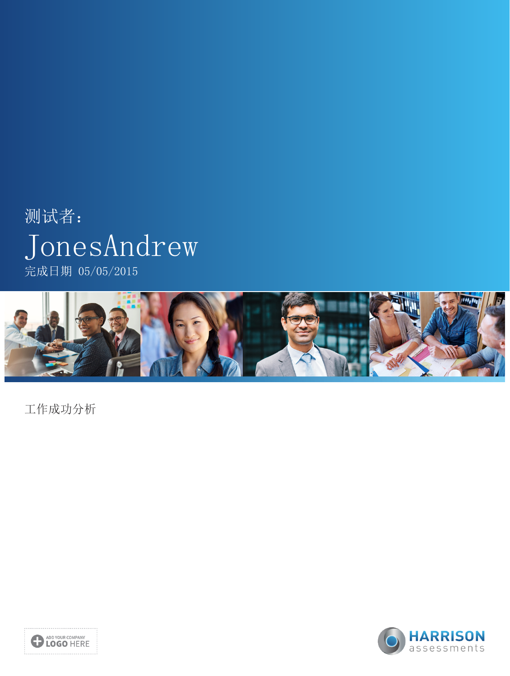# 测试者: JonesAndrew 完成日期 05/05/2015



工作成功分析



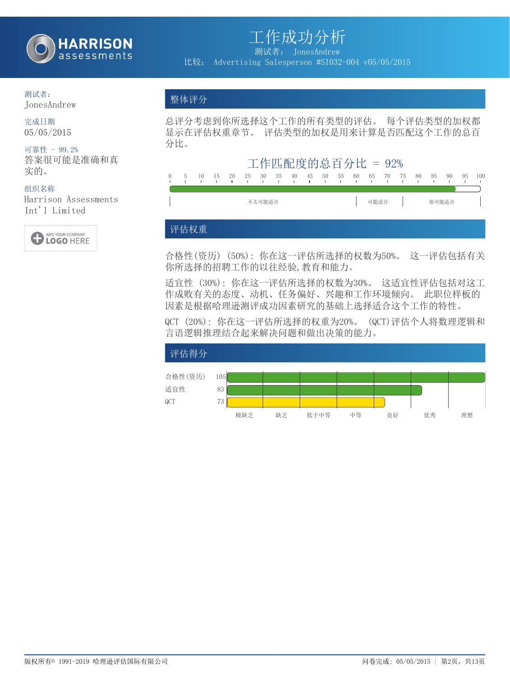

测试者: JonesAndrew 比较: Advertising Salesperson #SI032-004 v05/05/2015

### 测试者:

JonesAndrew

#### 完成日期 05/05/2015

#### 可靠性 - 99.2% 答案很可能是准确和真 实的。

#### 组织名称

Harrison Assessments Int'l Limited



### 整体评分

总评分考虑到你所选择这个工作的所有类型的评估。 每个评估类型的加权都 显示在评估权重章节。 评估类型的加权是用来计算是否匹配这个工作的总百 分比。



### 评估权重

合格性(资历) (50%): 你在这一评估所选择的权数为50%。 这一评估包括有关 你所选择的招聘工作的以往经验,教育和能力。

适宜性 (30%): 你在这一评估所选择的权数为30%。 这适宜性评估包括对这工 作成败有关的态度、动机、任务偏好、兴趣和工作环境倾向。 此职位样板的 因素是根据哈理逊测评成功因素研究的基础上选择适合这个工作的特性。

QCT (20%): 你在这一评估所选择的权重为20%。 (QCT)评估个人将数理逻辑和 言语逻辑推理结合起来解决问题和做出决策的能力。

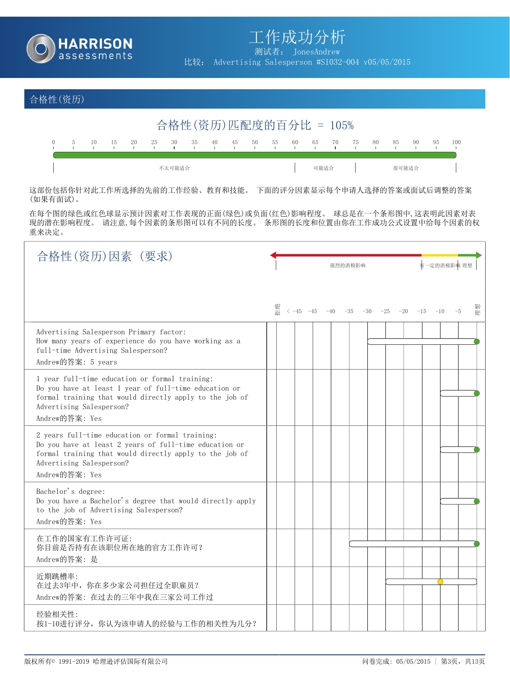

测试者: JonesAndrew

比较: Advertising Salesperson #SI032-004 v05/05/2015

### 合格性(资历)



这部份包括你针对此工作所选择的先前的工作经验、教育和技能。 下面的评分因素显示每个申请人选择的答案或面试后调整的答案 (如果有面试)。

在每个图的绿色或红色球显示预计因素对工作表现的正面(绿色)或负面(红色)影响程度。 球总是在一个条形图中,这表明此因素对表 现的潜在影响程度。 请注意,每个因素的条形图可以有不同的长度。 条形图的长度和位置由你在工作成功公式设置中给每个因素的权 重来决定。

| 合格性(资历)因素 (要求)                                                                                                                                                                                                     | 强烈的消极影响                                                                                                      | 有一定的消极影响 理想 |
|--------------------------------------------------------------------------------------------------------------------------------------------------------------------------------------------------------------------|--------------------------------------------------------------------------------------------------------------|-------------|
|                                                                                                                                                                                                                    | 恒絶<br>$\langle -45 \quad -45 \quad -40 \quad -35 \quad -30 \quad -25 \quad -20 \quad -15 \quad -10 \quad -5$ | 俚想          |
| Advertising Salesperson Primary factor:<br>How many years of experience do you have working as a<br>full-time Advertising Salesperson?<br>Andrew的答案: 5 years                                                       |                                                                                                              |             |
| 1 year full-time education or formal training:<br>Do you have at least 1 year of full-time education or<br>formal training that would directly apply to the job of<br>Advertising Salesperson?<br>Andrew的答案: Yes   |                                                                                                              |             |
| 2 years full-time education or formal training:<br>Do you have at least 2 years of full-time education or<br>formal training that would directly apply to the job of<br>Advertising Salesperson?<br>Andrew的答案: Yes |                                                                                                              |             |
| Bachelor's degree:<br>Do you have a Bachelor's degree that would directly apply<br>to the job of Advertising Salesperson?<br>Andrew的答案: Yes                                                                        |                                                                                                              |             |
| 在工作的国家有工作许可证:<br>你目前是否持有在该职位所在地的官方工作许可?<br>Andrew的答案: 是                                                                                                                                                            |                                                                                                              |             |
| 近期跳槽率:<br>在过去3年中, 你在多少家公司担任过全职雇员?<br>Andrew的答案: 在过去的三年中我在三家公司工作过                                                                                                                                                   |                                                                                                              |             |
| 经验相关性:<br>按1-10进行评分, 你认为该申请人的经验与工作的相关性为几分?                                                                                                                                                                         |                                                                                                              |             |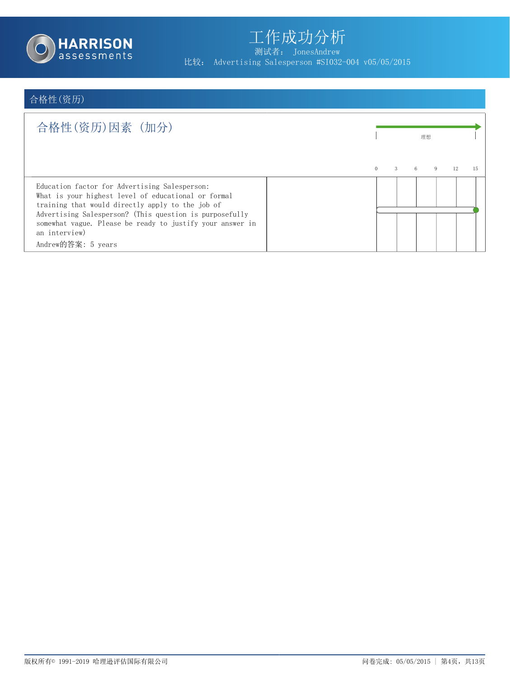

测试者: JonesAndrew 比较: Advertising Salesperson #SI032-004 v05/05/2015

# 合格性(资历)

| 合格性(资历)因素(加分)                                                                                                                                                                                                                                                                                                           |                           |   | 理想 |    |    |
|-------------------------------------------------------------------------------------------------------------------------------------------------------------------------------------------------------------------------------------------------------------------------------------------------------------------------|---------------------------|---|----|----|----|
|                                                                                                                                                                                                                                                                                                                         | $\mathcal{E}$<br>$\Omega$ | 6 |    | 12 | 15 |
| Education factor for Advertising Salesperson:<br>What is your highest level of educational or formal<br>training that would directly apply to the job of<br>Advertising Salesperson? (This question is purposefully<br>somewhat vague. Please be ready to justify your answer in<br>an interview)<br>Andrew的答案: 5 years |                           |   |    |    |    |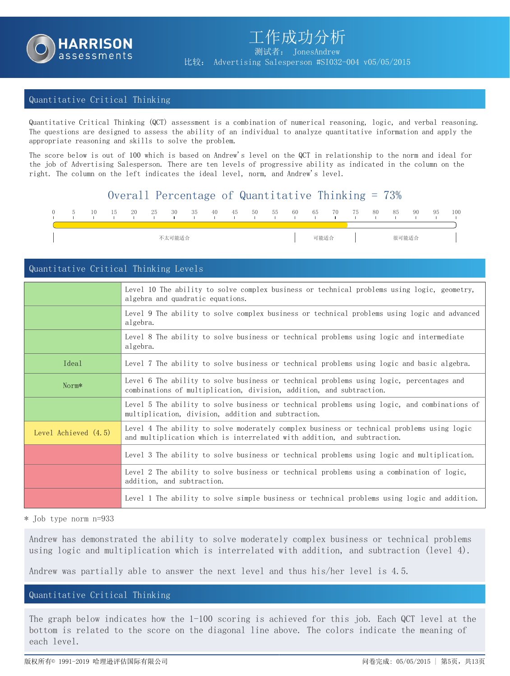

#### Quantitative Critical Thinking

Quantitative Critical Thinking (QCT) assessment is a combination of numerical reasoning, logic, and verbal reasoning. The questions are designed to assess the ability of an individual to analyze quantitative information and apply the appropriate reasoning and skills to solve the problem.

The score below is out of 100 which is based on Andrew's level on the QCT in relationship to the norm and ideal for the job of Advertising Salesperson. There are ten levels of progressive ability as indicated in the column on the right. The column on the left indicates the ideal level, norm, and Andrew's level.

### Overall Percentage of Quantitative Thinking = 73%

| $\left( \right)$ | 10 | 15 | 20 | 25 | 30     | 35 | 40 | 45 | 50 | 55 | 60 | 65   | 70 | 75 | 80 | 85    | 90 | 95 | 100 |
|------------------|----|----|----|----|--------|----|----|----|----|----|----|------|----|----|----|-------|----|----|-----|
|                  |    |    |    |    | 不太可能适合 |    |    |    |    |    |    | 可能适合 |    |    |    | 很可能适合 |    |    |     |

#### Quantitative Critical Thinking Levels

|                      | Level 10 The ability to solve complex business or technical problems using logic, geometry,<br>algebra and quadratic equations.                                        |
|----------------------|------------------------------------------------------------------------------------------------------------------------------------------------------------------------|
|                      | Level 9 The ability to solve complex business or technical problems using logic and advanced<br>algebra.                                                               |
|                      | Level 8 The ability to solve business or technical problems using logic and intermediate<br>algebra.                                                                   |
| Ideal                | Level 7 The ability to solve business or technical problems using logic and basic algebra.                                                                             |
| Norm*                | Level 6 The ability to solve business or technical problems using logic, percentages and<br>combinations of multiplication, division, addition, and subtraction.       |
|                      | Level 5 The ability to solve business or technical problems using logic, and combinations of<br>multiplication, division, addition and subtraction.                    |
| Level Achieved (4.5) | Level 4 The ability to solve moderately complex business or technical problems using logic<br>and multiplication which is interrelated with addition, and subtraction. |
|                      | Level 3 The ability to solve business or technical problems using logic and multiplication.                                                                            |
|                      | Level 2 The ability to solve business or technical problems using a combination of logic,<br>addition, and subtraction.                                                |
|                      | Level 1 The ability to solve simple business or technical problems using logic and addition.                                                                           |

\* Job type norm n=933

Andrew has demonstrated the ability to solve moderately complex business or technical problems using logic and multiplication which is interrelated with addition, and subtraction (level 4).

Andrew was partially able to answer the next level and thus his/her level is 4.5.

#### Quantitative Critical Thinking

The graph below indicates how the 1-100 scoring is achieved for this job. Each QCT level at the bottom is related to the score on the diagonal line above. The colors indicate the meaning of each level.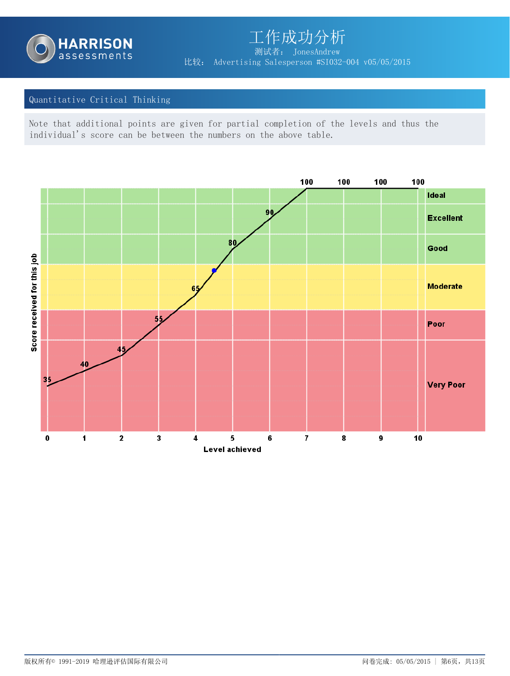

工作成功分析 测试者: JonesAndrew 比较: Advertising Salesperson #SI032-004 v05/05/2015

#### Quantitative Critical Thinking

Note that additional points are given for partial completion of the levels and thus the individual's score can be between the numbers on the above table.

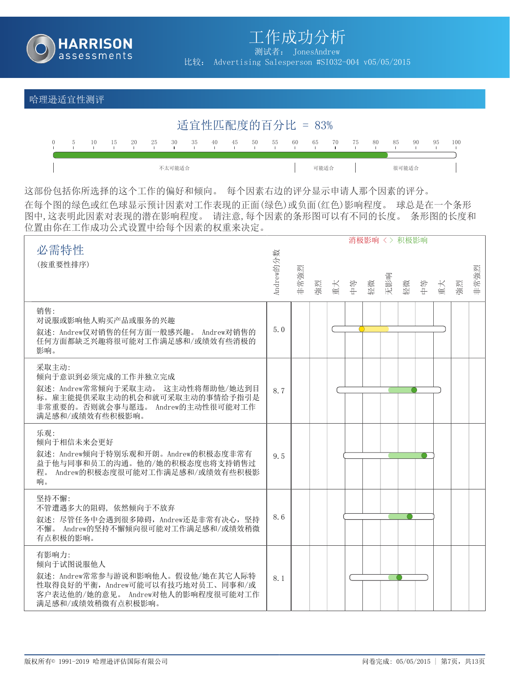

测试者: JonesAndrew

比较: Advertising Salesperson #SI032-004 v05/05/2015

#### 哈理逊适宜性测评

|  |     |    |      |        |    |    |    |    |     | 适宜性匹配度的百分比 = 83% |      |    |      |     |       |     |    |     |
|--|-----|----|------|--------|----|----|----|----|-----|------------------|------|----|------|-----|-------|-----|----|-----|
|  | -15 | 20 | - 25 | - 30   | 35 | 40 | 45 | 50 | -55 | 60               | 65   | 70 | - 75 | -80 | 85    | -90 | 95 | 100 |
|  |     |    |      | 不太可能适合 |    |    |    |    |     |                  | 可能适合 |    |      |     | 很可能适合 |     |    |     |

这部份包括你所选择的这个工作的偏好和倾向。 每个因素右边的评分显示申请人那个因素的评分。 在每个图的绿色或红色球显示预计因素对工作表现的正面(绿色)或负面(红色)影响程度。 球总是在一个条形 图中,这表明此因素对表现的潜在影响程度。 请注意,每个因素的条形图可以有不同的长度。 条形图的长度和 位置由你在工作成功公式设置中给每个因素的权重来决定。

|                                                     |           |      |    |    |    |    |     | 消极影响 <> 积极影响 |    |    |    |      |
|-----------------------------------------------------|-----------|------|----|----|----|----|-----|--------------|----|----|----|------|
| 必需特性                                                |           |      |    |    |    |    |     |              |    |    |    |      |
| (按重要性排序)                                            | Andrew的分数 |      |    |    |    |    |     |              |    |    |    |      |
|                                                     |           | 非常強烈 |    |    |    |    | 无影响 |              |    |    |    | 非常強烈 |
|                                                     |           |      | 強烈 | 重大 | 半半 | 轻微 |     | 轻微           | 半中 | 重大 | 強烈 |      |
| 销售:                                                 |           |      |    |    |    |    |     |              |    |    |    |      |
| 对说服或影响他人购买产品或服务的兴趣                                  |           |      |    |    |    |    |     |              |    |    |    |      |
| 叙述: Andrew仅对销售的任何方面一般感兴趣。 Andrew对销售的                | 5.0       |      |    |    |    |    |     |              |    |    |    |      |
| 任何方面都缺乏兴趣将很可能对工作满足感和/或绩效有些消极的<br>影响。                |           |      |    |    |    |    |     |              |    |    |    |      |
|                                                     |           |      |    |    |    |    |     |              |    |    |    |      |
| 采取主动:<br>倾向于意识到必须完成的工作并独立完成                         |           |      |    |    |    |    |     |              |    |    |    |      |
| 叙述: Andrew常常倾向于采取主动。 这主动性将帮助他/她达到目                  | 8.7       |      |    |    |    |    |     |              |    |    |    |      |
| 标。雇主能提供采取主动的机会和就可采取主动的事情给予指引是                       |           |      |    |    |    |    |     |              |    |    |    |      |
| 非常重要的。否则就会事与愿违。 Andrew的主动性很可能对工作<br>满足感和/或绩效有些积极影响。 |           |      |    |    |    |    |     |              |    |    |    |      |
|                                                     |           |      |    |    |    |    |     |              |    |    |    |      |
| 乐观:<br>倾向于相信未来会更好                                   |           |      |    |    |    |    |     |              |    |    |    |      |
| 叙述: Andrew倾向于特别乐观和开朗。Andrew的积极态度非常有                 | 9.5       |      |    |    |    |    |     |              |    |    |    |      |
| 益于他与同事和员工的沟通。他的/她的积极态度也将支持销售过                       |           |      |    |    |    |    |     |              |    |    |    |      |
| Andrew的积极态度很可能对工作满足感和/或绩效有些积极影<br>程。<br>响。          |           |      |    |    |    |    |     |              |    |    |    |      |
|                                                     |           |      |    |    |    |    |     |              |    |    |    |      |
| 坚持不懈:<br>不管遭遇多大的阻碍, 依然倾向于不放弃                        |           |      |    |    |    |    |     |              |    |    |    |      |
| 叙述: 尽管任务中会遇到很多障碍, Andrew还是非常有决心, 坚持                 | 8.6       |      |    |    |    |    |     |              |    |    |    |      |
| 不懈。 Andrew的坚持不懈倾向很可能对工作满足感和/或绩效稍微                   |           |      |    |    |    |    |     |              |    |    |    |      |
| 有点积极的影响。                                            |           |      |    |    |    |    |     |              |    |    |    |      |
| 有影响力:                                               |           |      |    |    |    |    |     |              |    |    |    |      |
| 倾向于试图说服他人<br>叙述: Andrew常常参与游说和影响他人。假设他/她在其它人际特      |           |      |    |    |    |    |     |              |    |    |    |      |
| 性取得良好的平衡, Andrew可能可以有技巧地对员工、同事和/或                   | 8.1       |      |    |    |    |    |     |              |    |    |    |      |
| 客户表达他的/她的意见。 Andrew对他人的影响程度很可能对工作                   |           |      |    |    |    |    |     |              |    |    |    |      |
| 满足感和/或绩效稍微有点积极影响。                                   |           |      |    |    |    |    |     |              |    |    |    |      |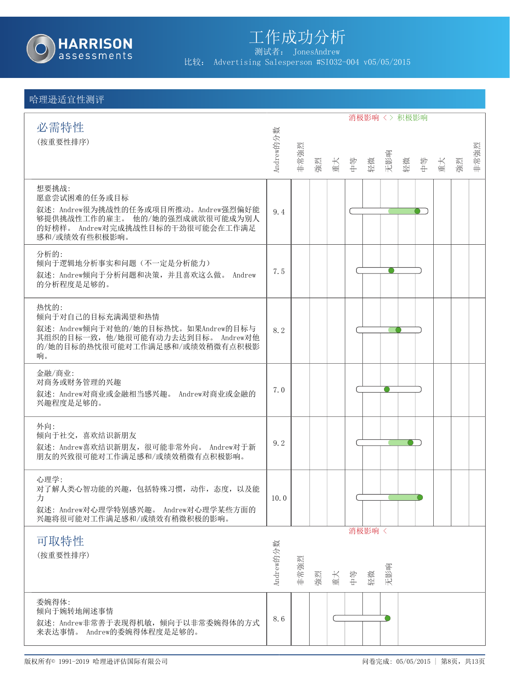

测试者: JonesAndrew

比较: Advertising Salesperson #SI032-004 v05/05/2015

|                                                                                     |           |      |    |     |                |       |           | 消极影响 <> 积极影响     |    |    |      |
|-------------------------------------------------------------------------------------|-----------|------|----|-----|----------------|-------|-----------|------------------|----|----|------|
| 必需特性                                                                                |           |      |    |     |                |       |           |                  |    |    |      |
| (按重要性排序)                                                                            | Andrew的分数 |      |    |     |                |       |           |                  |    |    | 非常強烈 |
|                                                                                     |           | 非常強烈 |    |     | 強烈<br>重大<br>中等 |       | 轻微<br>无影响 | 按<br>李<br>牛<br>牛 | 重大 | 強烈 |      |
| 想要挑战:                                                                               |           |      |    |     |                |       |           |                  |    |    |      |
| 愿意尝试困难的任务或目标<br>叙述: Andrew很为挑战性的任务或项目所推动。Andrew强烈偏好能                                |           |      |    |     |                |       |           |                  |    |    |      |
| 够提供挑战性工作的雇主。 他的/她的强烈成就欲很可能成为别人<br>的好榜样。 Andrew对完成挑战性目标的干劲很可能会在工作满足<br>感和/或绩效有些积极影响。 | 9.4       |      |    |     |                |       |           |                  |    |    |      |
| 分析的:                                                                                |           |      |    |     |                |       |           |                  |    |    |      |
| 倾向于逻辑地分析事实和问题(不一定是分析能力)<br>叙述: Andrew倾向于分析问题和决策, 并且喜欢这么做。 Andrew                    | 7.5       |      |    |     |                |       |           |                  |    |    |      |
| 的分析程度是足够的。                                                                          |           |      |    |     |                |       |           |                  |    |    |      |
| 热忱的:                                                                                |           |      |    |     |                |       |           |                  |    |    |      |
| 倾向于对自己的目标充满渴望和热情<br>叙述: Andrew倾向于对他的/她的目标热忱。如果Andrew的目标与                            | 8.2       |      |    |     |                |       |           |                  |    |    |      |
| 其组织的目标一致, 他/她很可能有动力去达到目标。 Andrew对他<br>的/她的目标的热忱很可能对工作满足感和/或绩效稍微有点积极影                |           |      |    |     |                |       |           |                  |    |    |      |
| 响。                                                                                  |           |      |    |     |                |       |           |                  |    |    |      |
| 金融/商业:                                                                              |           |      |    |     |                |       |           |                  |    |    |      |
| 对商务或财务管理的兴趣<br>叙述: Andrew对商业或金融相当感兴趣。 Andrew对商业或金融的                                 | 7.0       |      |    |     |                |       |           |                  |    |    |      |
| 兴趣程度是足够的。                                                                           |           |      |    |     |                |       |           |                  |    |    |      |
| 外向:                                                                                 |           |      |    |     |                |       |           |                  |    |    |      |
| 倾向于社交, 喜欢结识新朋友<br>叙述: Andrew喜欢结识新朋友, 很可能非常外向。 Andrew对于新                             | 9.2       |      |    |     |                |       |           |                  |    |    |      |
| 朋友的兴致很可能对工作满足感和/或绩效稍微有点积极影响。                                                        |           |      |    |     |                |       |           |                  |    |    |      |
| 心理学:                                                                                |           |      |    |     |                |       |           |                  |    |    |      |
| 对了解人类心智功能的兴趣,包括特殊习惯,动作,态度,以及能<br>力                                                  | 10.0      |      |    |     |                |       |           |                  |    |    |      |
| 叙述: Andrew对心理学特别感兴趣。 Andrew对心理学某些方面的<br>兴趣将很可能对工作满足感和/或绩效有稍微积极的影响。                  |           |      |    |     |                |       |           |                  |    |    |      |
|                                                                                     |           |      |    |     |                | 消极影响〈 |           |                  |    |    |      |
| 可取特性<br>(按重要性排序)                                                                    |           |      |    |     |                |       |           |                  |    |    |      |
|                                                                                     | Andrew的分数 | 非常強烈 |    |     |                |       |           |                  |    |    |      |
|                                                                                     |           |      | 強烈 | 重 毕 |                | 轻微    | 无影响       |                  |    |    |      |
| 委婉得体:                                                                               |           |      |    |     |                |       |           |                  |    |    |      |
| 倾向于婉转地阐述事情<br>叙述: Andrew非常善于表现得机敏, 倾向于以非常委婉得体的方式                                    | 8.6       |      |    |     |                |       |           |                  |    |    |      |
| 来表达事情。 Andrew的委婉得体程度是足够的。                                                           |           |      |    |     |                |       |           |                  |    |    |      |
|                                                                                     |           |      |    |     |                |       |           |                  |    |    |      |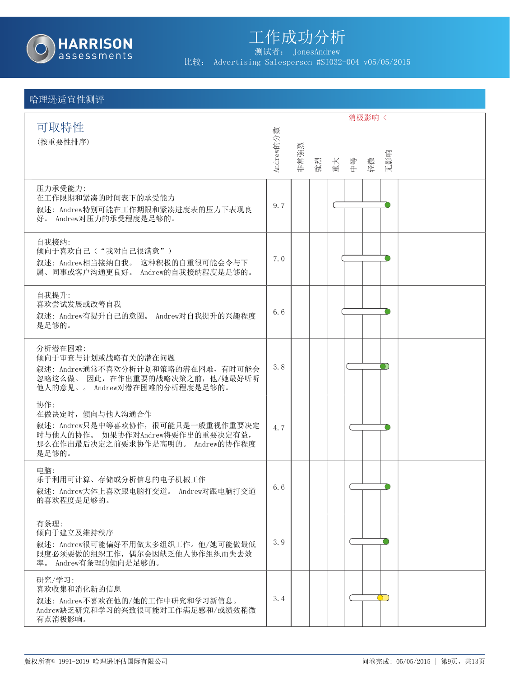

测试者: JonesAndrew

比较: Advertising Salesperson #SI032-004 v05/05/2015

|                                                                                                                                               |           |      |    |     | 消极影响 < |           |
|-----------------------------------------------------------------------------------------------------------------------------------------------|-----------|------|----|-----|--------|-----------|
| 可取特性<br>(按重要性排序)                                                                                                                              | Andrew的分数 | 非常強烈 | 強烈 | 重 半 | 轻微     | 无影响       |
| 压力承受能力:<br>在工作限期和紧凑的时间表下的承受能力<br>叙述: Andrew特别可能在工作期限和紧凑进度表的压力下表现良<br>好。 Andrew对压力的承受程度是足够的。                                                   | 9.7       |      |    |     |        |           |
| 自我接纳:<br>倾向于喜欢自己("我对自己很满意")<br>叙述: Andrew相当接纳自我。 这种积极的自重很可能会令与下<br>属、同事或客户沟通更良好。 Andrew的自我接纳程度是足够的。                                           | 7.0       |      |    |     |        |           |
| 自我提升:<br>喜欢尝试发展或改善自我<br>叙述: Andrew有提升自己的意图。 Andrew对自我提升的兴趣程度<br>是足够的。                                                                         | 6.6       |      |    |     |        |           |
| 分析潜在困难:<br>倾向于审查与计划或战略有关的潜在问题<br>叙述: Andrew通常不喜欢分析计划和策略的潜在困难, 有时可能会<br>忽略这么做。因此, 在作出重要的战略决策之前, 他/她最好听听<br>他人的意见。。 Andrew对潜在困难的分析程度是足够的。       | 3.8       |      |    |     |        |           |
| 协作:<br>在做决定时, 倾向与他人沟通合作<br>叙述: Andrew只是中等喜欢协作, 很可能只是一般重视作重要决定<br>时与他人的协作。如果协作对Andrew将要作出的重要决定有益,<br>那么在作出最后决定之前要求协作是高明的。 Andrew的协作程度<br>是足够的。 | 4.7       |      |    |     |        |           |
| 电脑:<br>乐于利用可计算、存储或分析信息的电子机械工作<br>叙述: Andrew大体上喜欢跟电脑打交道。 Andrew对跟电脑打交道<br>的喜欢程度是足够的。                                                           | 6.6       |      |    |     |        |           |
| 有条理:<br>倾向于建立及维持秩序<br>叙述: Andrew很可能偏好不用做太多组织工作。他/她可能做最低<br>限度必须要做的组织工作, 偶尔会因缺乏他人协作组织而失去效<br>率。 Andrew有条理的倾向是足够的。                              | 3.9       |      |    |     |        |           |
| 研究/学习:<br>喜欢收集和消化新的信息<br>叙述: Andrew不喜欢在他的/她的工作中研究和学习新信息。<br>Andrew缺乏研究和学习的兴致很可能对工作满足感和/或绩效稍微<br>有点消极影响。                                       | 3.4       |      |    |     |        | $\bigcap$ |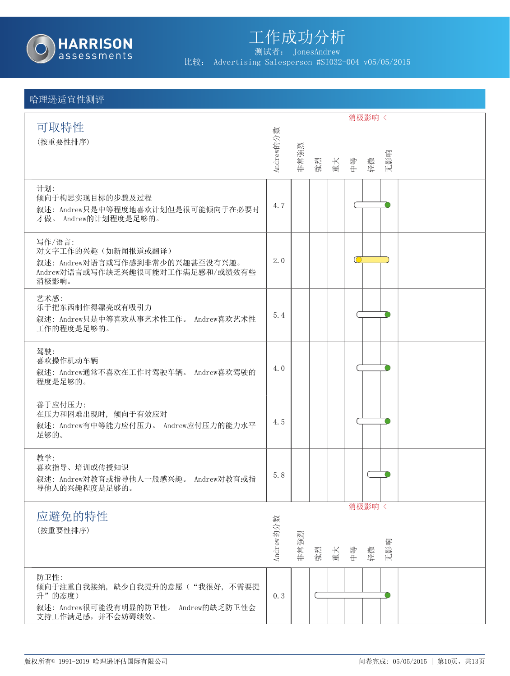

测试者: JonesAndrew

比较: Advertising Salesperson #SI032-004 v05/05/2015

|                                                       |           |      |    |                |    | 消极影响 < |     |  |  |
|-------------------------------------------------------|-----------|------|----|----------------|----|--------|-----|--|--|
| 可取特性                                                  |           |      |    |                |    |        |     |  |  |
| (按重要性排序)                                              |           |      |    |                |    |        |     |  |  |
|                                                       | Andrew的分数 | 非常強烈 |    | 強烈<br>重大<br>中等 |    | 轻微     | 无影响 |  |  |
|                                                       |           |      |    |                |    |        |     |  |  |
| 计划:<br>倾向于构思实现目标的步骤及过程                                |           |      |    |                |    |        |     |  |  |
| 叙述: Andrew只是中等程度地喜欢计划但是很可能倾向于在必要时                     | 4.7       |      |    |                |    |        |     |  |  |
| 才做。 Andrew的计划程度是足够的。                                  |           |      |    |                |    |        |     |  |  |
| 写作/语言:                                                |           |      |    |                |    |        |     |  |  |
| 对文字工作的兴趣(如新闻报道或翻译)<br>叙述: Andrew对语言或写作感到非常少的兴趣甚至没有兴趣。 | 2.0       |      |    |                | 10 |        |     |  |  |
| Andrew对语言或写作缺乏兴趣很可能对工作满足感和/或绩效有些                      |           |      |    |                |    |        |     |  |  |
| 消极影响。                                                 |           |      |    |                |    |        |     |  |  |
| 艺术感:<br>乐于把东西制作得漂亮或有吸引力                               |           |      |    |                |    |        |     |  |  |
| 叙述: Andrew只是中等喜欢从事艺术性工作。 Andrew喜欢艺术性                  | 5.4       |      |    |                |    |        |     |  |  |
| 工作的程度是足够的。                                            |           |      |    |                |    |        |     |  |  |
| 驾驶:                                                   |           |      |    |                |    |        |     |  |  |
| 喜欢操作机动车辆<br>叙述: Andrew通常不喜欢在工作时驾驶车辆。 Andrew喜欢驾驶的      | 4.0       |      |    |                |    |        |     |  |  |
| 程度是足够的。                                               |           |      |    |                |    |        |     |  |  |
| 善于应付压力:                                               |           |      |    |                |    |        |     |  |  |
| 在压力和困难出现时, 倾向于有效应对                                    |           |      |    |                |    |        |     |  |  |
| 叙述: Andrew有中等能力应付压力。 Andrew应付压力的能力水平<br>足够的。          | 4.5       |      |    |                |    |        |     |  |  |
|                                                       |           |      |    |                |    |        |     |  |  |
| 教学:                                                   |           |      |    |                |    |        |     |  |  |
| 喜欢指导、培训或传授知识<br>叙述: Andrew对教育或指导他人一般感兴趣。 Andrew对教育或指  | 5.8       |      |    |                |    |        |     |  |  |
| 导他人的兴趣程度是足够的。                                         |           |      |    |                |    |        |     |  |  |
|                                                       |           |      |    |                |    | 消极影响 < |     |  |  |
| 应避免的特性                                                |           |      |    |                |    |        |     |  |  |
| (按重要性排序)                                              |           |      |    |                |    |        |     |  |  |
|                                                       | Andrew的分数 | 非常強烈 | 強烈 | 重大             | 中学 | 轻微     | 无影响 |  |  |
| 防卫性:                                                  |           |      |    |                |    |        |     |  |  |
| 倾向于注重自我接纳, 缺少自我提升的意愿("我很好, 不需要提                       |           |      |    |                |    |        |     |  |  |
| 升"的态度)<br>叙述: Andrew很可能没有明显的防卫性。 Andrew的缺乏防卫性会        | 0.3       |      |    |                |    |        |     |  |  |
| 支持工作满足感,并不会妨碍绩效。                                      |           |      |    |                |    |        |     |  |  |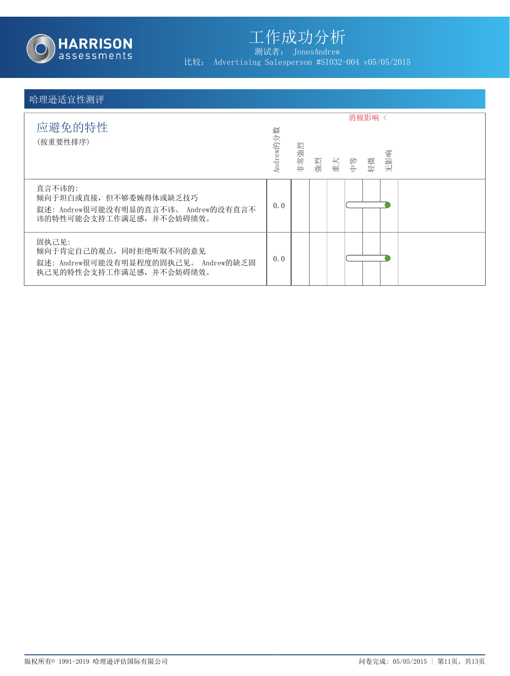

测试者: JonesAndrew

比较: Advertising Salesperson #SI032-004 v05/05/2015

| 应避免的特性<br>(按重要性排序)                                                                                   | Andrew的分数 | 非常強烈 | 強烈<br>重大<br>中等 | 消极影响 <<br>轻微 | 无影响 |  |
|------------------------------------------------------------------------------------------------------|-----------|------|----------------|--------------|-----|--|
| 直言不讳的:<br>倾向于坦白或直接,但不够委婉得体或缺乏技巧<br>叙述: Andrew很可能没有明显的直言不讳。 Andrew的没有直言不<br>讳的特性可能会支持工作满足感,并不会妨碍绩效。   | 0.0       |      |                |              |     |  |
| 固执己见:<br>倾向于肯定自己的观点, 同时拒绝听取不同的意见<br>叙述: Andrew很可能没有明显程度的固执己见。 Andrew的缺乏固<br>执己见的特性会支持工作满足感, 并不会妨碍绩效。 | 0.0       |      |                |              |     |  |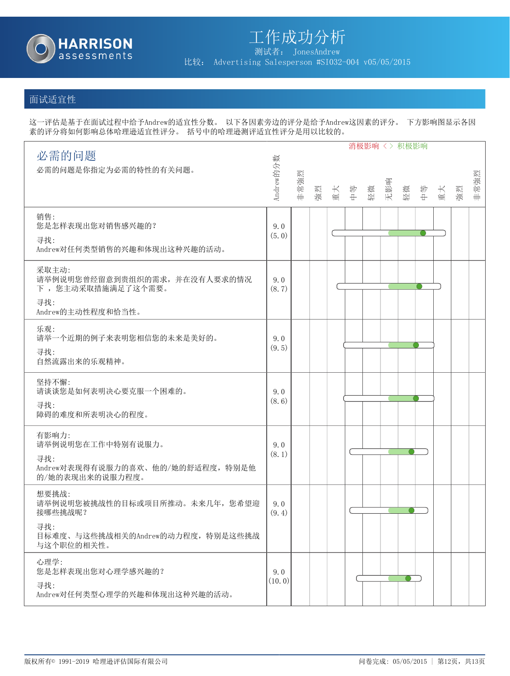

比较: Advertising Salesperson #SI032-004 v05/05/2015

### 面试适宜性

这一评估是基于在面试过程中给予Andrew的适宜性分数。 以下各因素旁边的评分是给予Andrew这因素的评分。 下方影响图显示各因 素的评分将如何影响总体哈理逊适宜性评分。 括号中的哈理逊测评适宜性评分是用以比较的。

|                                                                                                             |               |      |    |    |    | 消极影响 <> 积极影响 |     |    |    |    |    |      |
|-------------------------------------------------------------------------------------------------------------|---------------|------|----|----|----|--------------|-----|----|----|----|----|------|
| 必需的问题<br>必需的问题是你指定为必需的特性的有关问题。                                                                              | Andrew的分数     | 非常強烈 | 強烈 | 重大 | 中学 | 轻微           | 无影响 | 轻微 | 学中 | 重大 | 強烈 | 非常強烈 |
| 销售:<br>您是怎样表现出您对销售感兴趣的?<br>寻找:<br>Andrew对任何类型销售的兴趣和体现出这种兴趣的活动。                                              | 9.0<br>(5.0)  |      |    |    |    |              |     |    |    |    |    |      |
| 采取主动:<br>请举例说明您曾经留意到贵组织的需求,并在没有人要求的情况<br>下,您主动采取措施满足了这个需要。<br>寻找:<br>Andrew的主动性程度和恰当性。                      | 9.0<br>(8.7)  |      |    |    |    |              |     |    |    |    |    |      |
| 乐观:<br>请举一个近期的例子来表明您相信您的未来是美好的。<br>寻找:<br>自然流露出来的乐观精神。                                                      | 9.0<br>(9.5)  |      |    |    |    |              |     |    |    |    |    |      |
| 坚持不懈:<br>请谈谈您是如何表明决心要克服一个困难的。<br>寻找:<br>障碍的难度和所表明决心的程度。                                                     | 9.0<br>(8.6)  |      |    |    |    |              |     |    |    |    |    |      |
| 有影响力:<br>请举例说明您在工作中特别有说服力。<br>寻找:<br>Andrew对表现得有说服力的喜欢、他的/她的舒适程度,特别是他<br>的/她的表现出来的说服力程度。                    | 9.0<br>(8.1)  |      |    |    |    |              |     |    |    |    |    |      |
| 想要挑战:<br>请举例说明您被挑战性的目标或项目所推动。未来几年, 您希望迎<br>接哪些挑战呢?<br>寻找:<br>目标难度、与这些挑战相关的Andrew的动力程度,特别是这些挑战<br>与这个职位的相关性。 | 9.0<br>(9.4)  |      |    |    |    |              |     |    |    |    |    |      |
| 心理学:<br>您是怎样表现出您对心理学感兴趣的?<br>寻找:<br>Andrew对任何类型心理学的兴趣和体现出这种兴趣的活动。                                           | 9.0<br>(10.0) |      |    |    |    |              |     |    |    |    |    |      |